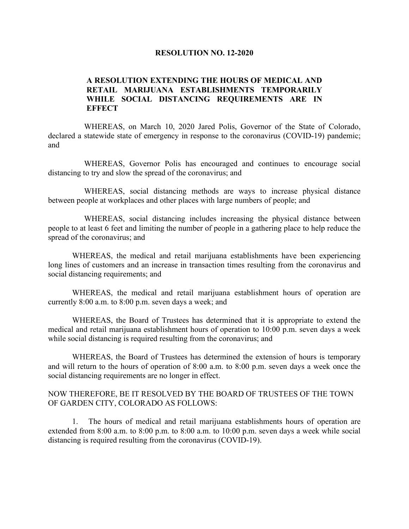## **RESOLUTION NO. 12-2020**

## **A RESOLUTION EXTENDING THE HOURS OF MEDICAL AND RETAIL MARIJUANA ESTABLISHMENTS TEMPORARILY WHILE SOCIAL DISTANCING REQUIREMENTS ARE IN EFFECT**

WHEREAS, on March 10, 2020 Jared Polis, Governor of the State of Colorado, declared a statewide state of emergency in response to the coronavirus (COVID-19) pandemic; and

WHEREAS, Governor Polis has encouraged and continues to encourage social distancing to try and slow the spread of the coronavirus; and

WHEREAS, social distancing methods are ways to increase physical distance between people at workplaces and other places with large numbers of people; and

WHEREAS, social distancing includes increasing the physical distance between people to at least 6 feet and limiting the number of people in a gathering place to help reduce the spread of the coronavirus; and

WHEREAS, the medical and retail marijuana establishments have been experiencing long lines of customers and an increase in transaction times resulting from the coronavirus and social distancing requirements; and

WHEREAS, the medical and retail marijuana establishment hours of operation are currently 8:00 a.m. to 8:00 p.m. seven days a week; and

WHEREAS, the Board of Trustees has determined that it is appropriate to extend the medical and retail marijuana establishment hours of operation to 10:00 p.m. seven days a week while social distancing is required resulting from the coronavirus; and

WHEREAS, the Board of Trustees has determined the extension of hours is temporary and will return to the hours of operation of 8:00 a.m. to 8:00 p.m. seven days a week once the social distancing requirements are no longer in effect.

## NOW THEREFORE, BE IT RESOLVED BY THE BOARD OF TRUSTEES OF THE TOWN OF GARDEN CITY, COLORADO AS FOLLOWS:

1. The hours of medical and retail marijuana establishments hours of operation are extended from 8:00 a.m. to 8:00 p.m. to 8:00 a.m. to 10:00 p.m. seven days a week while social distancing is required resulting from the coronavirus (COVID-19).